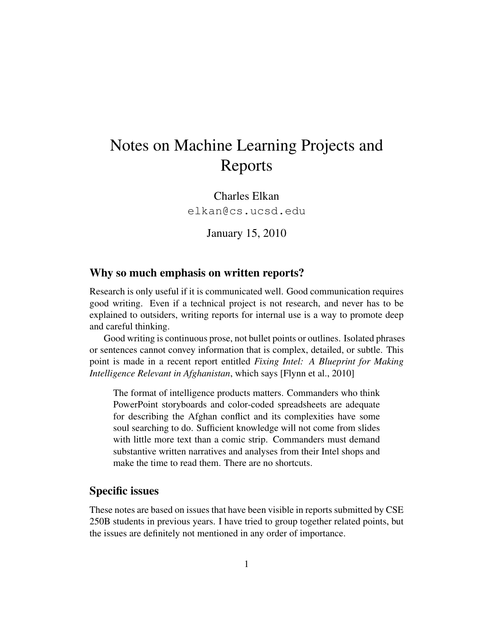## Notes on Machine Learning Projects and Reports

Charles Elkan elkan@cs.ucsd.edu

January 15, 2010

## Why so much emphasis on written reports?

Research is only useful if it is communicated well. Good communication requires good writing. Even if a technical project is not research, and never has to be explained to outsiders, writing reports for internal use is a way to promote deep and careful thinking.

Good writing is continuous prose, not bullet points or outlines. Isolated phrases or sentences cannot convey information that is complex, detailed, or subtle. This point is made in a recent report entitled *Fixing Intel: A Blueprint for Making Intelligence Relevant in Afghanistan*, which says [Flynn et al., 2010]

The format of intelligence products matters. Commanders who think PowerPoint storyboards and color-coded spreadsheets are adequate for describing the Afghan conflict and its complexities have some soul searching to do. Sufficient knowledge will not come from slides with little more text than a comic strip. Commanders must demand substantive written narratives and analyses from their Intel shops and make the time to read them. There are no shortcuts.

## Specific issues

These notes are based on issues that have been visible in reports submitted by CSE 250B students in previous years. I have tried to group together related points, but the issues are definitely not mentioned in any order of importance.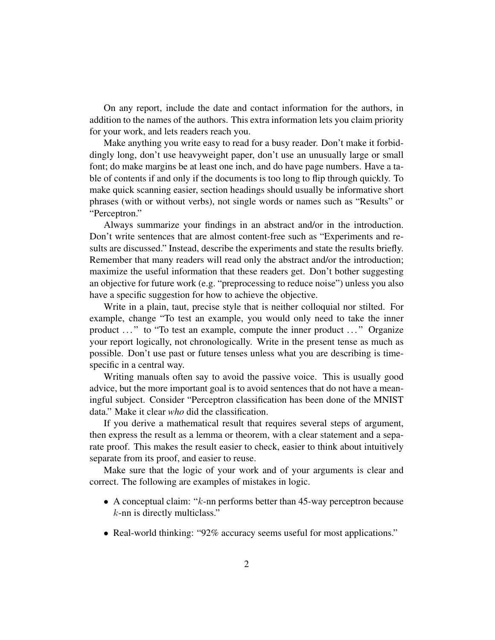On any report, include the date and contact information for the authors, in addition to the names of the authors. This extra information lets you claim priority for your work, and lets readers reach you.

Make anything you write easy to read for a busy reader. Don't make it forbiddingly long, don't use heavyweight paper, don't use an unusually large or small font; do make margins be at least one inch, and do have page numbers. Have a table of contents if and only if the documents is too long to flip through quickly. To make quick scanning easier, section headings should usually be informative short phrases (with or without verbs), not single words or names such as "Results" or "Perceptron."

Always summarize your findings in an abstract and/or in the introduction. Don't write sentences that are almost content-free such as "Experiments and results are discussed." Instead, describe the experiments and state the results briefly. Remember that many readers will read only the abstract and/or the introduction; maximize the useful information that these readers get. Don't bother suggesting an objective for future work (e.g. "preprocessing to reduce noise") unless you also have a specific suggestion for how to achieve the objective.

Write in a plain, taut, precise style that is neither colloquial nor stilted. For example, change "To test an example, you would only need to take the inner product . . . " to "To test an example, compute the inner product . . . " Organize your report logically, not chronologically. Write in the present tense as much as possible. Don't use past or future tenses unless what you are describing is timespecific in a central way.

Writing manuals often say to avoid the passive voice. This is usually good advice, but the more important goal is to avoid sentences that do not have a meaningful subject. Consider "Perceptron classification has been done of the MNIST data." Make it clear *who* did the classification.

If you derive a mathematical result that requires several steps of argument, then express the result as a lemma or theorem, with a clear statement and a separate proof. This makes the result easier to check, easier to think about intuitively separate from its proof, and easier to reuse.

Make sure that the logic of your work and of your arguments is clear and correct. The following are examples of mistakes in logic.

- A conceptual claim: "k-nn performs better than 45-way perceptron because k-nn is directly multiclass."
- Real-world thinking: "92% accuracy seems useful for most applications."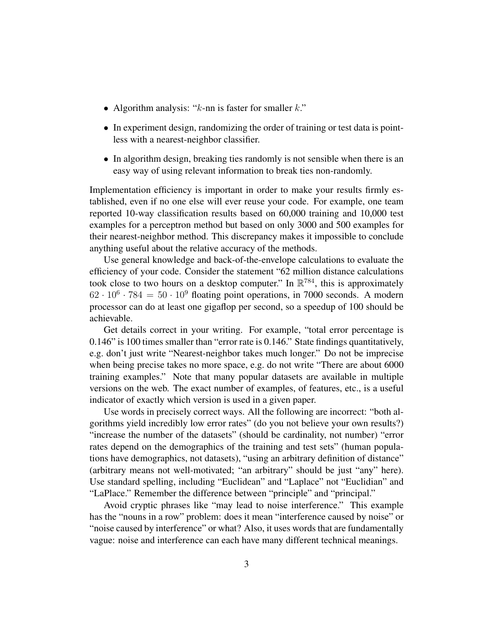- Algorithm analysis: " $k$ -nn is faster for smaller  $k$ ."
- In experiment design, randomizing the order of training or test data is pointless with a nearest-neighbor classifier.
- In algorithm design, breaking ties randomly is not sensible when there is an easy way of using relevant information to break ties non-randomly.

Implementation efficiency is important in order to make your results firmly established, even if no one else will ever reuse your code. For example, one team reported 10-way classification results based on 60,000 training and 10,000 test examples for a perceptron method but based on only 3000 and 500 examples for their nearest-neighbor method. This discrepancy makes it impossible to conclude anything useful about the relative accuracy of the methods.

Use general knowledge and back-of-the-envelope calculations to evaluate the efficiency of your code. Consider the statement "62 million distance calculations took close to two hours on a desktop computer." In  $\mathbb{R}^{784}$ , this is approximately  $62 \cdot 10^6 \cdot 784 = 50 \cdot 10^9$  floating point operations, in 7000 seconds. A modern processor can do at least one gigaflop per second, so a speedup of 100 should be achievable.

Get details correct in your writing. For example, "total error percentage is 0.146" is 100 times smaller than "error rate is 0.146." State findings quantitatively, e.g. don't just write "Nearest-neighbor takes much longer." Do not be imprecise when being precise takes no more space, e.g. do not write "There are about 6000 training examples." Note that many popular datasets are available in multiple versions on the web. The exact number of examples, of features, etc., is a useful indicator of exactly which version is used in a given paper.

Use words in precisely correct ways. All the following are incorrect: "both algorithms yield incredibly low error rates" (do you not believe your own results?) "increase the number of the datasets" (should be cardinality, not number) "error rates depend on the demographics of the training and test sets" (human populations have demographics, not datasets), "using an arbitrary definition of distance" (arbitrary means not well-motivated; "an arbitrary" should be just "any" here). Use standard spelling, including "Euclidean" and "Laplace" not "Euclidian" and "LaPlace." Remember the difference between "principle" and "principal."

Avoid cryptic phrases like "may lead to noise interference." This example has the "nouns in a row" problem: does it mean "interference caused by noise" or "noise caused by interference" or what? Also, it uses words that are fundamentally vague: noise and interference can each have many different technical meanings.